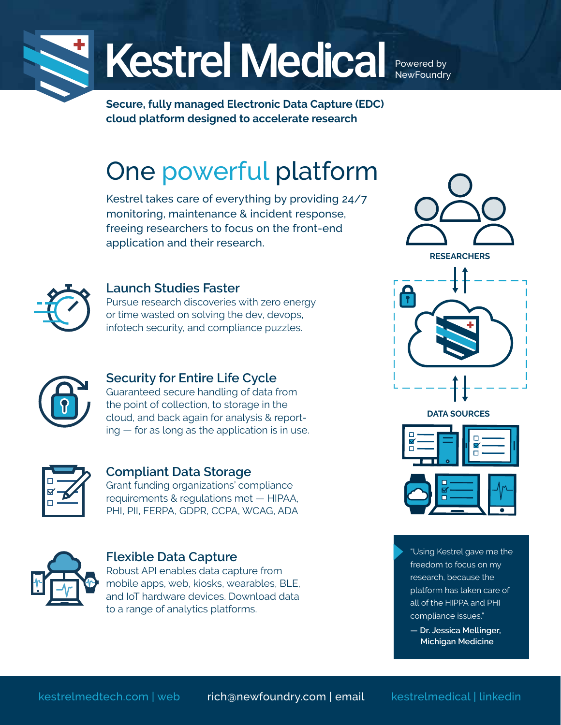

# Kestrel Medical

Powered by **NewFoundry** 

**Secure, fully managed Electronic Data Capture (EDC) cloud platform designed to accelerate research**

# One powerful platform

Kestrel takes care of everything by providing 24/7 monitoring, maintenance & incident response, freeing researchers to focus on the front-end application and their research.



#### **Launch Studies Faster**

Pursue research discoveries with zero energy or time wasted on solving the dev, devops, infotech security, and compliance puzzles.



#### **Security for Entire Life Cycle**

Guaranteed secure handling of data from the point of collection, to storage in the cloud, and back again for analysis & reporting — for as long as the application is in use.



#### **Compliant Data Storage**

Grant funding organizations' compliance requirements & regulations met — HIPAA, PHI, PII, FERPA, GDPR, CCPA, WCAG, ADA



#### **Flexible Data Capture**

Robust API enables data capture from mobile apps, web, kiosks, wearables, BLE, and IoT hardware devices. Download data to a range of analytics platforms.





- "Using Kestrel gave me the freedom to focus on my research, because the platform has taken care of all of the HIPPA and PHI compliance issues."
	- **Dr. Jessica Mellinger, Michigan Medicine**